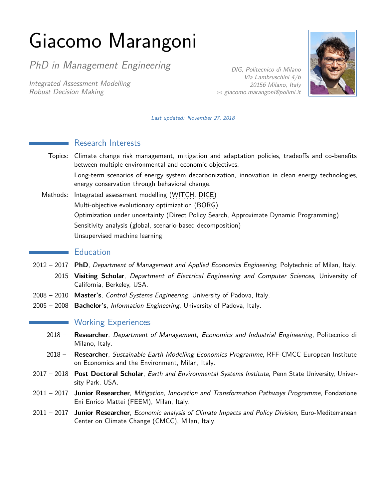# Giacomo Marangoni

PhD in Management Engineering

Integrated Assessment Modelling Robust Decision Making

DIG, Politecnico di Milano Via Lambruschini 4/b 20156 Milano, Italy  $\boxtimes$  [giacomo.marangoni@polimi.it](mailto:giacomo.marangoni@polimi.it)



Last updated: November 27, 2018

|               | <b>Research Interests</b>                                                                                                                                |
|---------------|----------------------------------------------------------------------------------------------------------------------------------------------------------|
| Topics:       | Climate change risk management, mitigation and adaptation policies, tradeoffs and co-benefits<br>between multiple environmental and economic objectives. |
|               | Long-term scenarios of energy system decarbonization, innovation in clean energy technologies,<br>energy conservation through behavioral change.         |
| Methods:      | Integrated assessment modelling (WITCH, DICE)                                                                                                            |
|               | Multi-objective evolutionary optimization (BORG)                                                                                                         |
|               | Optimization under uncertainty (Direct Policy Search, Approximate Dynamic Programming)                                                                   |
|               | Sensitivity analysis (global, scenario-based decomposition)                                                                                              |
|               | Unsupervised machine learning                                                                                                                            |
|               | <b>Education</b>                                                                                                                                         |
|               | 2012 – 2017 PhD, Department of Management and Applied Economics Engineering, Polytechnic of Milan, Italy.                                                |
| 2015          | Visiting Scholar, Department of Electrical Engineering and Computer Sciences, University of<br>California, Berkeley, USA.                                |
| $2008 - 2010$ | Master's, Control Systems Engineering, University of Padova, Italy.                                                                                      |
| $2005 - 2008$ | Bachelor's, Information Engineering, University of Padova, Italy.                                                                                        |
|               | <b>Working Experiences</b>                                                                                                                               |
| $2018 -$      | Researcher, Department of Management, Economics and Industrial Engineering, Politecnico di<br>Milano, Italy.                                             |
| $2018 -$      | Researcher, Sustainable Earth Modelling Economics Programme, RFF-CMCC European Institute<br>on Economics and the Environment, Milan, Italy.              |
| $2017 - 2018$ | Post Doctoral Scholar, Earth and Environmental Systems Institute, Penn State University, Univer-<br>sity Park, USA.                                      |
|               | 2011 - 2017 Junior Researcher, Mitigation, Innovation and Transformation Pathways Programme, Fondazione<br>Eni Enrico Mattei (FEEM), Milan, Italy.       |
| $2011 - 2017$ | Junior Researcher, Economic analysis of Climate Impacts and Policy Division, Euro-Mediterranean<br>Center on Climate Change (CMCC), Milan, Italy.        |
|               |                                                                                                                                                          |
|               |                                                                                                                                                          |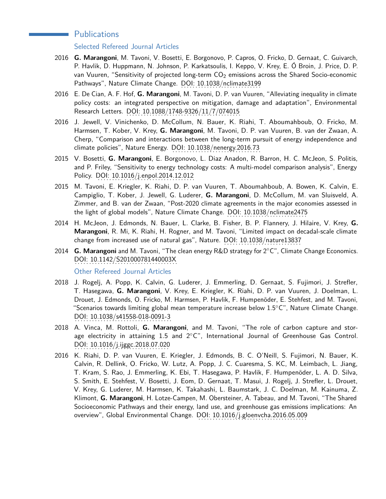## **Publications**

Selected Refereed Journal Articles

- 2016 **G. Marangoni**, M. Tavoni, V. Bosetti, E. Borgonovo, P. Capros, O. Fricko, D. Gernaat, C. Guivarch, P. Havlik, D. Huppmann, N. Johnson, P. Karkatsoulis, I. Keppo, V. Krey, E. Ó Broin, J. Price, D. P. van Vuuren, "Sensitivity of projected long-term  $CO<sub>2</sub>$  emissions across the Shared Socio-economic Pathways", Nature Climate Change. DOI: [10.1038/nclimate3199](http://dx.doi.org/10.1038/nclimate3199)
- 2016 E. De Cian, A. F. Hof, **G. Marangoni**, M. Tavoni, D. P. van Vuuren, "Alleviating inequality in climate policy costs: an integrated perspective on mitigation, damage and adaptation", Environmental Research Letters. DOI: [10.1088/1748-9326/11/7/074015](http://dx.doi.org/10.1088/1748-9326/11/7/074015).
- 2016 J. Jewell, V. Vinichenko, D. McCollum, N. Bauer, K. Riahi, T. Aboumahboub, O. Fricko, M. Harmsen, T. Kober, V. Krey, **G. Marangoni**, M. Tavoni, D. P. van Vuuren, B. van der Zwaan, A. Cherp, "Comparison and interactions between the long-term pursuit of energy independence and climate policies", Nature Energy. DOI: [10.1038/nenergy.2016.73](http://dx.doi.org/10.1038/nenergy.2016.73).
- 2015 V. Bosetti, **G. Marangoni**, E. Borgonovo, L. Diaz Anadon, R. Barron, H. C. McJeon, S. Politis, and P. Friley, "Sensitivity to energy technology costs: A multi-model comparison analysis", Energy Policy. DOI: [10.1016/j.enpol.2014.12.012](http://dx.doi.org/10.1016/j.enpol.2014.12.012).
- 2015 M. Tavoni, E. Kriegler, K. Riahi, D. P. van Vuuren, T. Aboumahboub, A. Bowen, K. Calvin, E. Campiglio, T. Kober, J. Jewell, G. Luderer, **G. Marangoni**, D. McCollum, M. van Sluisveld, A. Zimmer, and B. van der Zwaan, "Post-2020 climate agreements in the major economies assessed in the light of global models", Nature Climate Change. DOI: [10.1038/nclimate2475](http://dx.doi.org/10.1038/nclimate2475)
- 2014 H. McJeon, J. Edmonds, N. Bauer, L. Clarke, B. Fisher, B. P. Flannery, J. Hilaire, V. Krey, **G. Marangoni**, R. Mi, K. Riahi, H. Rogner, and M. Tavoni, "Limited impact on decadal-scale climate change from increased use of natural gas", Nature. DOI: . . . . . . . . . . . . . . . . . . . . . . . . . . . [10.1038/nature13837](http://dx.doi.org/10.1038/nature13837)
- 2014 **G. Marangoni** and M. Tavoni, "The clean energy R&D strategy for 2◦C", Climate Change Economics. DOI: . . . . . . . . . . . . . . . . . . . . . . . . . . . . . . . . . . . . [10.1142/S201000781440003X](http://dx.doi.org/10.1142/S201000781440003X)

Other Refereed Journal Articles

- 2018 J. Rogelj, A. Popp, K. Calvin, G. Luderer, J. Emmerling, D. Gernaat, S. Fujimori, J. Strefler, T. Hasegawa, **G. Marangoni**, V. Krey, E. Kriegler, K. Riahi, D. P. van Vuuren, J. Doelman, L. Drouet, J. Edmonds, O. Fricko, M. Harmsen, P. Havlik, F. Humpenöder, E. Stehfest, and M. Tavoni, "Scenarios towards limiting global mean temperature increase below 1.5◦C", Nature Climate Change. DOI: . . . . . . . . . . . . . . . . . . . . . . . . . . . . . . . . . . [10.1038/s41558-018-0091-3](https://doi.org/10.1038/s41558-018-0091-3)
- 2018 A. Vinca, M. Rottoli, **G. Marangoni**, and M. Tavoni, "The role of carbon capture and storage electricity in attaining 1.5 and 2◦C", International Journal of Greenhouse Gas Control. DOI: . . . . . . . . . . . . . . . . . . . . . . . . . . . . . . . . . [10.1016/j.ijggc.2018.07.020](https://doi.org/10.1016/j.ijggc.2018.07.020)
- 2016 K. Riahi, D. P. van Vuuren, E. Kriegler, J. Edmonds, B. C. O'Neill, S. Fujimori, N. Bauer, K. Calvin, R. Dellink, O. Fricko, W. Lutz, A. Popp, J. C. Cuaresma, S. KC, M. Leimbach, L. Jiang, T. Kram, S. Rao, J. Emmerling, K. Ebi, T. Hasegawa, P. Havlik, F. Humpenöder, L. A. D. Silva, S. Smith, E. Stehfest, V. Bosetti, J. Eom, D. Gernaat, T. Masui, J. Rogelj, J. Strefler, L. Drouet, V. Krey, G. Luderer, M. Harmsen, K. Takahashi, L. Baumstark, J. C. Doelman, M. Kainuma, Z. Klimont, **G. Marangoni**, H. Lotze-Campen, M. Obersteiner, A. Tabeau, and M. Tavoni, "The Shared Socioeconomic Pathways and their energy, land use, and greenhouse gas emissions implications: An overview", Global Environmental Change. DOI: [10.1016/j.gloenvcha.2016.05.009](http://dx.doi.org/10.1016/j.gloenvcha.2016.05.009)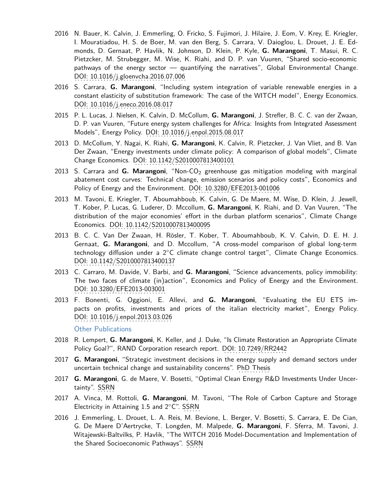- 2016 N. Bauer, K. Calvin, J. Emmerling, O. Fricko, S. Fujimori, J. Hilaire, J. Eom, V. Krey, E. Kriegler, I. Mouratiadou, H. S. de Boer, M. van den Berg, S. Carrara, V. Daioglou, L. Drouet, J. E. Edmonds, D. Gernaat, P. Havlik, N. Johnson, D. Klein, P. Kyle, **G. Marangoni**, T. Masui, R. C. Pietzcker, M. Strubegger, M. Wise, K. Riahi, and D. P. van Vuuren, "Shared socio-economic pathways of the energy sector — quantifying the narratives", Global Environmental Change. DOI: . . . . . . . . . . . . . . . . . . . . . . . . . . . . . . . . . . . . . . . [10.1016/j.gloenvcha.2016.07.006](http://dx.doi.org/10.1016/j.gloenvcha.2016.07.006)
- 2016 S. Carrara, **G. Marangoni**, "Including system integration of variable renewable energies in a constant elasticity of substitution framework: The case of the WITCH model", Energy Economics. DOI: [10.1016/j.eneco.2016.08.017](http://dx.doi.org/10.1016/j.eneco.2016.08.017)
- 2015 P. L. Lucas, J. Nielsen, K. Calvin, D. McCollum, **G. Marangoni**, J. Strefler, B. C. C. van der Zwaan, D. P. van Vuuren, "Future energy system challenges for Africa: Insights from Integrated Assessment Models", Energy Policy. DOI: [10.1016/j.enpol.2015.08.017](http://dx.doi.org/10.1016/j.enpol.2015.08.017)
- 2013 D. McCollum, Y. Nagai, K. Riahi, **G. Marangoni**, K. Calvin, R. Pietzcker, J. Van Vliet, and B. Van Der Zwaan, "Energy investments under climate policy: A comparison of global models", Climate Change Economics. DOI: [10.1142/S2010007813400101](http://dx.doi.org/10.1142/S2010007813400101).
- 2013 S. Carrara and **G. Marangoni**, "Non-CO<sub>2</sub> greenhouse gas mitigation modeling with marginal abatement cost curves: Technical change, emission scenarios and policy costs", Economics and Policy of Energy and the Environment. DOI: [10.3280/EFE2013-001006](http://www.francoangeli.it/riviste/Scheda_Rivista.aspx?IDArticolo=48877&idRivista=10&lingua=en).
- 2013 M. Tavoni, E. Kriegler, T. Aboumahboub, K. Calvin, G. De Maere, M. Wise, D. Klein, J. Jewell, T. Kober, P. Lucas, G. Luderer, D. Mccollum, **G. Marangoni**, K. Riahi, and D. Van Vuuren, "The distribution of the major economies' effort in the durban platform scenarios", Climate Change Economics. DOI: [10.1142/S2010007813400095](http://dx.doi.org/10.1142/S2010007813400095)
- 2013 B. C. C. Van Der Zwaan, H. Rösler, T. Kober, T. Aboumahboub, K. V. Calvin, D. E. H. J. Gernaat, **G. Marangoni**, and D. Mccollum, "A cross-model comparison of global long-term technology diffusion under a 2℃ climate change control target", Climate Change Economics. DOI: . . . . . . . . . . . . . . . . . . . . . . . . . . . . . . . . . . . [10.1142/S2010007813400137](http://dx.doi.org/10.1142/S2010007813400137)
- 2013 C. Carraro, M. Davide, V. Barbi, and **G. Marangoni**, "Science advancements, policy immobility: The two faces of climate (in)action", Economics and Policy of Energy and the Environment. DOI: . . . . . . . . . . . . . . . . . . . . . . . . . . . . . . . . [10.3280/EFE2013-003001](http://www.francoangeli.it/riviste/Scheda_Rivista.aspx?IDArticolo=50284&Tipo=ArticoloPDF&lingua=en)
- 2013 F. Bonenti, G. Oggioni, E. Allevi, and **G. Marangoni**, "Evaluating the EU ETS impacts on profits, investments and prices of the italian electricity market", Energy Policy. DOI: . . . . . . . . . . . . . . . . . . . . . . . . . . . . . . . . . . [10.1016/j.enpol.2013.03.026](http://dx.doi.org/10.1016/j.enpol.2013.03.026)

Other Publications

- 2018 R. Lempert, **G. Marangoni**, K. Keller, and J. Duke, "Is Climate Restoration an Appropriate Climate Policy Goal?", RAND Corporation research report. DOI: [10.7249/RR2442](http://dx.doi.org/10.7249/RR2442)
- 2017 **G. Marangoni**, "Strategic investment decisions in the energy supply and demand sectors under uncertain technical change and sustainability concerns". PhD Thesis
- 2017 **G. Marangoni**, G. de Maere, V. Bosetti, "Optimal Clean Energy R&D Investments Under Uncer-tainty". [SSRN](https://papers.ssrn.com/sol3/papers.cfm?abstract_id=2947610)
- 2017 A. Vinca, M. Rottoli, **G. Marangoni**, M. Tavoni, "The Role of Carbon Capture and Storage Electricity in Attaining 1.5 and  $2°C"$ . [SSRN](https://papers.ssrn.com/sol3/papers.cfm?abstract_id=3089665).
- 2016 J. Emmerling, L. Drouet, L. A. Reis, M. Bevione, L. Berger, V. Bosetti, S. Carrara, E. De Cian, G. De Maere D'Aertrycke, T. Longden, M. Malpede, **G. Marangoni**, F. Sferra, M. Tavoni, J. Witajewski-Baltvilks, P. Havlik, "The WITCH 2016 Model-Documentation and Implementation of the Shared Socioeconomic Pathways". [SSRN](https://papers.ssrn.com/sol3/papers.cfm?abstract_id=2800970)